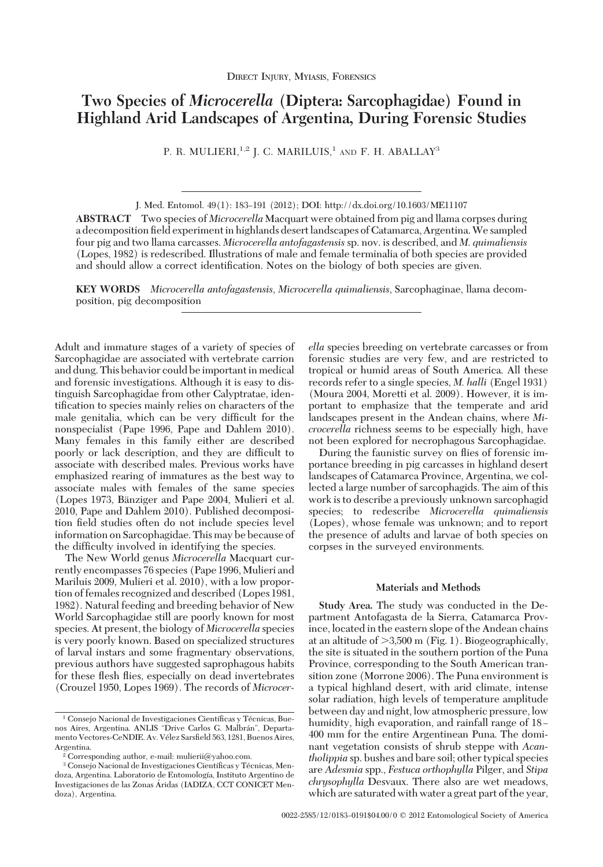# **Two Species of** *Microcerella* **(Diptera: Sarcophagidae) Found in Highland Arid Landscapes of Argentina, During Forensic Studies**

P. R. MULIERI,<sup>1,2</sup> J. C. MARILUIS,<sup>1</sup> AND F. H. ABALLAY<sup>3</sup>

**ABSTRACT** Two species of *Microcerella* Macquart were obtained from pig and llama corpses during a decomposition field experiment in highlands desert landscapes of Catamarca, Argentina. We sampled four pig and two llama carcasses. *Microcerella antofagastensis*sp. nov. is described, and *M*. *quimaliensis* (Lopes, 1982) is redescribed. Illustrations of male and female terminalia of both species are provided and should allow a correct identification. Notes on the biology of both species are given.

**KEY WORDS** *Microcerella antofagastensis*, *Microcerella quimaliensis*, Sarcophaginae, llama decomposition, pig decomposition

Adult and immature stages of a variety of species of Sarcophagidae are associated with vertebrate carrion and dung. This behavior could be important in medical and forensic investigations. Although it is easy to distinguish Sarcophagidae from other Calyptratae, identification to species mainly relies on characters of the male genitalia, which can be very difficult for the nonspecialist (Pape 1996, Pape and Dahlem 2010). Many females in this family either are described poorly or lack description, and they are difficult to associate with described males. Previous works have emphasized rearing of immatures as the best way to associate males with females of the same species (Lopes 1973, Bänziger and Pape 2004, Mulieri et al. 2010, Pape and Dahlem 2010). Published decomposition field studies often do not include species level information on Sarcophagidae. This may be because of the difficulty involved in identifying the species.

The New World genus *Microcerella* Macquart currently encompasses 76 species (Pape 1996, Mulieri and Mariluis 2009, Mulieri et al. 2010), with a low proportion of females recognized and described (Lopes 1981, 1982). Natural feeding and breeding behavior of New World Sarcophagidae still are poorly known for most species. At present, the biology of *Microcerella* species is very poorly known. Based on specialized structures of larval instars and some fragmentary observations, previous authors have suggested saprophagous habits for these ßesh ßies, especially on dead invertebrates (Crouzel 1950, Lopes 1969). The records of *Microcer-* *ella* species breeding on vertebrate carcasses or from forensic studies are very few, and are restricted to tropical or humid areas of South America. All these records refer to a single species, *M. halli* (Engel 1931) (Moura 2004, Moretti et al. 2009). However, it is important to emphasize that the temperate and arid landscapes present in the Andean chains, where *Microcerella* richness seems to be especially high, have not been explored for necrophagous Sarcophagidae.

During the faunistic survey on flies of forensic importance breeding in pig carcasses in highland desert landscapes of Catamarca Province, Argentina, we collected a large number of sarcophagids. The aim of this work is to describe a previously unknown sarcophagid species; to redescribe *Microcerella quimaliensis* (Lopes), whose female was unknown; and to report the presence of adults and larvae of both species on corpses in the surveyed environments.

# **Materials and Methods**

**Study Area.** The study was conducted in the Department Antofagasta de la Sierra, Catamarca Province, located in the eastern slope of the Andean chains at an altitude of  $>3,500$  m (Fig. 1). Biogeographically, the site is situated in the southern portion of the Puna Province, corresponding to the South American transition zone (Morrone 2006). The Puna environment is a typical highland desert, with arid climate, intense solar radiation, high levels of temperature amplitude between day and night, low atmospheric pressure, low humidity, high evaporation, and rainfall range of 18-400 mm for the entire Argentinean Puna. The dominant vegetation consists of shrub steppe with *Acantholippia* sp. bushes and bare soil; other typical species are *Adesmia* spp., *Festuca orthophylla* Pilger, and *Stipa chrysophylla* Desvaux. There also are wet meadows, which are saturated with water a great part of the year,

J. Med. Entomol. 49(1): 183-191 (2012); DOI: http://dx.doi.org/10.1603/ME11107

<sup>&</sup>lt;sup>1</sup> Consejo Nacional de Investigaciones Científicas y Técnicas, Buenos Aires, Argentina. ANLIS "Drive Carlos G. Malbrán", Departamento Vectores-CeNDIE. Av. Vélez Sarsfield 563, 1281, Buenos Aires, Argentina.

<sup>2</sup> Corresponding author, e-mail: mulierii@yahoo.com.

<sup>&</sup>lt;sup>3</sup> Consejo Nacional de Investigaciones Científicas y Técnicas, Mendoza, Argentina, Laboratorio de Entomología, Instituto Argentino de Investigaciones de las Zonas Áridas (IADIZA, CCT CONICET Mendoza), Argentina.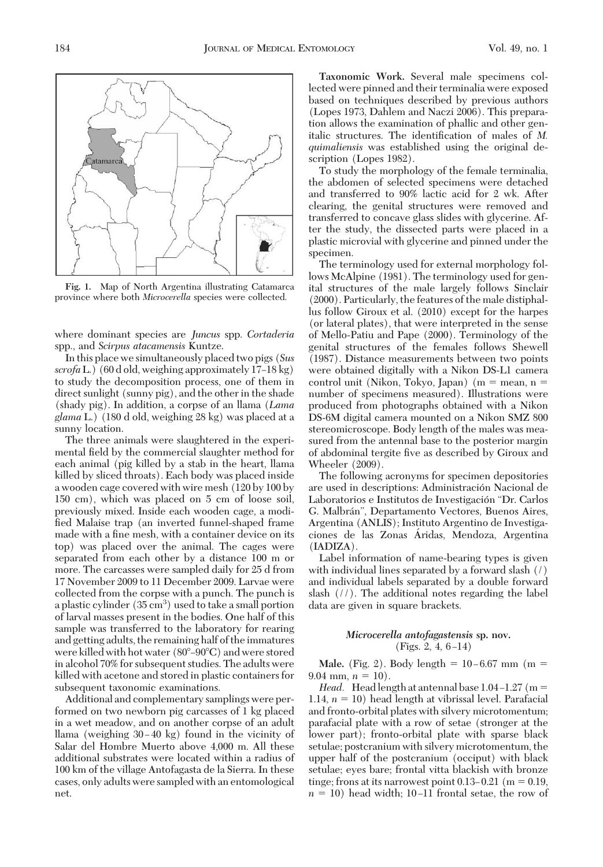

**Fig. 1.** Map of North Argentina illustrating Catamarca province where both *Microcerella* species were collected.

where dominant species are *Juncus* spp. *Cortaderia* spp., and *Scirpus atacamensis* Kuntze.

In this place we simultaneously placed two pigs (*Sus scrofa* L.) (60 d old, weighing approximately 17–18 kg) to study the decomposition process, one of them in direct sunlight (sunny pig), and the other in the shade (shady pig). In addition, a corpse of an llama (*Lama glama* L.) (180 d old, weighing 28 kg) was placed at a sunny location.

The three animals were slaughtered in the experimental field by the commercial slaughter method for each animal (pig killed by a stab in the heart, llama killed by sliced throats). Each body was placed inside a wooden cage covered with wire mesh (120 by 100 by 150 cm), which was placed on 5 cm of loose soil, previously mixed. Inside each wooden cage, a modified Malaise trap (an inverted funnel-shaped frame made with a fine mesh, with a container device on its top) was placed over the animal. The cages were separated from each other by a distance 100 m or more. The carcasses were sampled daily for 25 d from 17 November 2009 to 11 December 2009. Larvae were collected from the corpse with a punch. The punch is a plastic cylinder (35  $\text{cm}^3$ ) used to take a small portion of larval masses present in the bodies. One half of this sample was transferred to the laboratory for rearing and getting adults, the remaining half of the immatures were killed with hot water  $(80^{\circ}-90^{\circ}C)$  and were stored in alcohol 70% for subsequent studies. The adults were killed with acetone and stored in plastic containers for subsequent taxonomic examinations.

Additional and complementary samplings were performed on two newborn pig carcasses of 1 kg placed in a wet meadow, and on another corpse of an adult llama (weighing  $30-40$  kg) found in the vicinity of Salar del Hombre Muerto above 4,000 m. All these additional substrates were located within a radius of 100 km of the village Antofagasta de la Sierra. In these cases, only adults were sampled with an entomological net.

**Taxonomic Work.** Several male specimens collected were pinned and their terminalia were exposed based on techniques described by previous authors (Lopes 1973, Dahlem and Naczi 2006). This preparation allows the examination of phallic and other genitalic structures. The identification of males of *M*. *quimaliensis* was established using the original description (Lopes 1982).

To study the morphology of the female terminalia, the abdomen of selected specimens were detached and transferred to 90% lactic acid for 2 wk. After clearing, the genital structures were removed and transferred to concave glass slides with glycerine. After the study, the dissected parts were placed in a plastic microvial with glycerine and pinned under the specimen.

The terminology used for external morphology follows McAlpine (1981). The terminology used for genital structures of the male largely follows Sinclair (2000). Particularly, the features of the male distiphallus follow Giroux et al. (2010) except for the harpes (or lateral plates), that were interpreted in the sense of Mello-Patiu and Pape (2000). Terminology of the genital structures of the females follows Shewell (1987). Distance measurements between two points were obtained digitally with a Nikon DS-L1 camera control unit (Nikon, Tokyo, Japan) ( $m =$  mean,  $n =$ number of specimens measured). Illustrations were produced from photographs obtained with a Nikon DS-6M digital camera mounted on a Nikon SMZ 800 stereomicroscope. Body length of the males was measured from the antennal base to the posterior margin of abdominal tergite five as described by Giroux and Wheeler (2009).

The following acronyms for specimen depositories are used in descriptions: Administración Nacional de Laboratorios e Institutos de Investigación "Dr. Carlos G. Malbrán", Departamento Vectores, Buenos Aires, Argentina (ANLIS); Instituto Argentino de Investigaciones de las Zonas Áridas, Mendoza, Argentina (IADIZA).

Label information of name-bearing types is given with individual lines separated by a forward slash (/) and individual labels separated by a double forward slash (//). The additional notes regarding the label data are given in square brackets.

## *Microcerella antofagastensis* **sp. nov.**  $(Figs. 2, 4, 6-14)$

**Male.** (Fig. 2). Body length =  $10-6.67$  mm (m = 9.04 mm,  $n = 10$ ).

*Head.* Head length at antennal base  $1.04 - 1.27$  (m = 1.14,  $n = 10$ ) head length at vibrissal level. Parafacial and fronto-orbital plates with silvery microtomentum; parafacial plate with a row of setae (stronger at the lower part); fronto-orbital plate with sparse black setulae; postcranium with silvery microtomentum, the upper half of the postcranium (occiput) with black setulae; eyes bare; frontal vitta blackish with bronze tinge; frons at its narrowest point 0.13–0.21 (m  $= 0.19$ ,  $n = 10$ ) head width; 10–11 frontal setae, the row of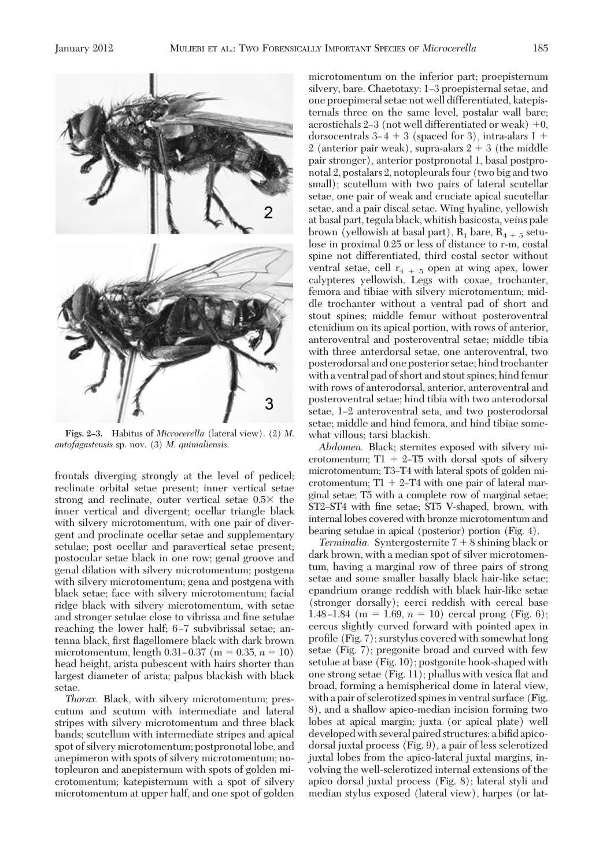

**Figs. 2–3.** Habitus of *Microcerella* (lateral view). (2) *M*. *antofagastensis* sp. nov. (3) *M*. *quimaliensis*.

frontals diverging strongly at the level of pedicel; reclinate orbital setae present; inner vertical setae strong and reclinate, outer vertical setae  $0.5 \times$  the inner vertical and divergent; ocellar triangle black with silvery microtomentum, with one pair of divergent and proclinate ocellar setae and supplementary setulae; post ocellar and paravertical setae present; postocular setae black in one row; genal groove and genal dilation with silvery microtomentum; postgena with silvery microtomentum; gena and postgena with black setae; face with silvery microtomentum; facial ridge black with silvery microtomentum, with setae and stronger setulae close to vibrissa and fine setulae reaching the lower half; 6-7 subvibrissal setae; antenna black, first flagellomere black with dark brown microtomentum, length  $0.31 - 0.37$  (m =  $0.35$ , n = 10) head height, arista pubescent with hairs shorter than largest diameter of arista; palpus blackish with black setae.

*Thorax.* Black, with silvery microtomentum; prescutum and scutum with intermediate and lateral stripes with silvery microtomentum and three black bands; scutellum with intermediate stripes and apical spot of silvery microtomentum; postpronotal lobe, and anepimeron with spots of silvery microtomentum; notopleuron and anepisternum with spots of golden microtomentum; katepisternum with a spot of silvery microtomentum at upper half, and one spot of golden microtomentum on the inferior part; proepisternum silvery, bare. Chaetotaxy: 1–3 proepisternal setae, and one proepimeral setae not well differentiated, katepisternals three on the same level, postalar wall bare; acrostichals  $2-3$  (not well differentiated or weak)  $+0$ , dorsocentrals  $3-4+3$  (spaced for 3), intra-alars  $1+$ 2 (anterior pair weak), supra-alars  $2 + 3$  (the middle pair stronger), anterior postpronotal 1, basal postpronotal 2, postalars 2, notopleurals four (two big and two small); scutellum with two pairs of lateral scutellar setae, one pair of weak and cruciate apical sucutellar setae, and a pair discal setae. Wing hyaline, yellowish at basal part, tegula black, whitish basicosta, veins pale brown (yellowish at basal part),  $R_1$  bare,  $R_{4+5}$  setulose in proximal 0.25 or less of distance to r-m, costal spine not differentiated, third costal sector without ventral setae, cell  $r_{4+5}$  open at wing apex, lower calypteres yellowish. Legs with coxae, trochanter, femora and tibiae with silvery microtomentum; middle trochanter without a ventral pad of short and stout spines; middle femur without posteroventral ctenidium on its apical portion, with rows of anterior, anteroventral and posteroventral setae; middle tibia with three anterdorsal setae, one anteroventral, two posterodorsal and one posterior setae; hind trochanter with a ventral pad of short and stout spines; hind femur with rows of anterodorsal, anterior, anteroventral and posteroventral setae; hind tibia with two anterodorsal setae, 1–2 anteroventral seta, and two posterodorsal setae; middle and hind femora, and hind tibiae somewhat villous; tarsi blackish.

*Abdomen.* Black; sternites exposed with silvery microtomentum;  $T1 + 2-T5$  with dorsal spots of silvery microtomentum; T3-T4 with lateral spots of golden microtomentum;  $T1 + 2-T4$  with one pair of lateral marginal setae; T5 with a complete row of marginal setae; ST2-ST4 with fine setae; ST5 V-shaped, brown, with internal lobes covered with bronze microtomentum and bearing setulae in apical (posterior) portion (Fig. 4).

*Terminalia.* Syntergosternite  $7 + 8$  shining black or dark brown, with a median spot of silver microtomentum, having a marginal row of three pairs of strong setae and some smaller basally black hair-like setae; epandrium orange reddish with black hair-like setae (stronger dorsally); cerci reddish with cercal base 1.48 –1.84 (m = 1.69,  $n = 10$ ) cercal prong (Fig. 6); cercus slightly curved forward with pointed apex in profile  $(Fig. 7)$ ; surstylus covered with somewhat long setae (Fig. 7); pregonite broad and curved with few setulae at base (Fig. 10); postgonite hook-shaped with one strong setae (Fig. 11); phallus with vesica ßat and broad, forming a hemispherical dome in lateral view, with a pair of sclerotized spines in ventral surface (Fig. 8), and a shallow apico-median incision forming two lobes at apical margin; juxta (or apical plate) well developed with several paired structures: a bifid apicodorsal juxtal process (Fig. 9), a pair of less sclerotized juxtal lobes from the apico-lateral juxtal margins, involving the well-sclerotized internal extensions of the apico dorsal juxtal process (Fig. 8); lateral styli and median stylus exposed (lateral view), harpes (or lat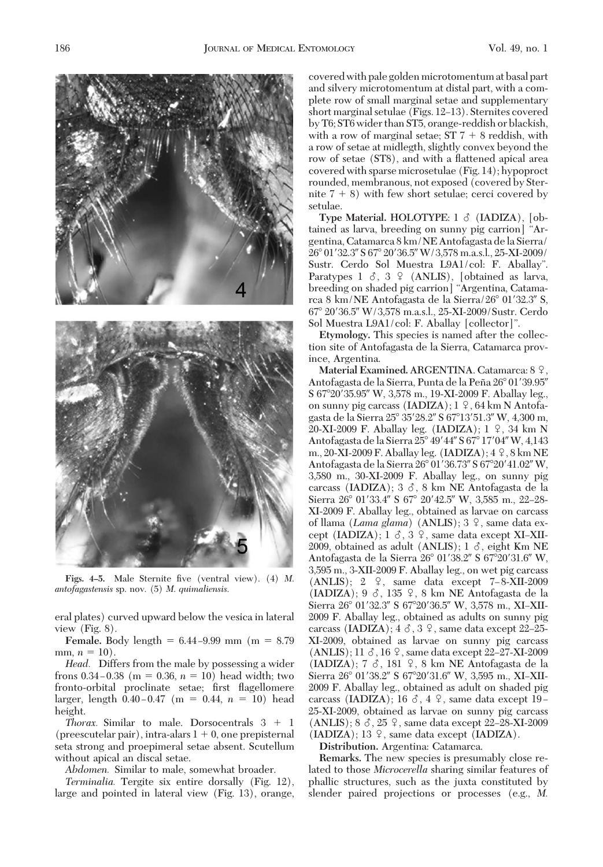186 **JOURNAL OF MEDICAL ENTOMOLOGY Vol. 49, no. 1** 



Figs. 4–5. Male Sternite five (ventral view). (4) *M*. *antofagastensis* sp. nov. (5) *M*. *quimaliensis*.

eral plates) curved upward below the vesica in lateral view (Fig. 8).

**Female.** Body length  $= 6.44 - 9.99$  mm (m  $= 8.79$ ) mm,  $n = 10$ ).

*Head.* Differs from the male by possessing a wider frons  $0.34 - 0.38$  (m = 0.36, n = 10) head width; two fronto-orbital proclinate setae; first flagellomere larger, length  $0.40 - 0.47$  (m = 0.44,  $n = 10$ ) head height.

*Thorax.* Similar to male. Dorsocentrals  $3 + 1$ (preescutelar pair), intra-alars  $1 + 0$ , one prepisternal seta strong and proepimeral setae absent. Scutellum without apical an discal setae.

*Abdomen.* Similar to male, somewhat broader.

*Terminalia.* Tergite six entire dorsally (Fig. 12), large and pointed in lateral view (Fig. 13), orange, covered with pale golden microtomentum at basal part and silvery microtomentum at distal part, with a complete row of small marginal setae and supplementary short marginal setulae (Figs. 12–13). Sternites covered by T6; ST6 wider than ST5, orange-reddish or blackish, with a row of marginal setae;  $ST 7 + 8$  reddish, with a row of setae at midlegth, slightly convex beyond the row of setae (ST8), and with a flattened apical area covered with sparse microsetulae (Fig. 14); hypoproct rounded, membranous, not exposed (covered by Sternite  $7 + 8$ ) with few short setulae; cerci covered by setulae.

Type Material. HOLOTYPE: 1  $\delta$  (IADIZA), [obtained as larva, breeding on sunny pig carrion] "Argentina, Catamarca 8 km/NE Antofagasta de la Sierra/ 26° 01' 32.3" S 67° 20' 36.5" W / 3,578 m.a.s.l., 25-XI-2009 / Sustr. Cerdo Sol Muestra L9A1/col: F. Aballay". Paratypes  $1 \text{ } \delta$ ,  $3 \text{ } \frac{\varphi}{\varphi}$  (ANLIS), [obtained as larva, breeding on shaded pig carrion] "Argentina, Catamarca 8 km/NE Antofagasta de la Sierra/26° 01'32.3" S, 67° 20′36.5" W/3,578 m.a.s.l., 25-XI-2009/Sustr. Cerdo Sol Muestra L9A1/col: F. Aballay [collector]".

**Etymology.** This species is named after the collection site of Antofagasta de la Sierra, Catamarca province, Argentina.

Material Examined. ARGENTINA. Catamarca: 8 9. Antofagasta de la Sierra, Punta de la Peña 26° 01' 39.95" S 67°20′35.95″ W, 3,578 m., 19-XI-2009 F. Aballay leg., on sunny pig carcass (IADIZA);  $1 \,$   $\circ$ , 64 km N Antofagasta de la Sierra 25° 35' 28.2" S 67° 13' 51.3" W, 4,300 m, 20-XI-2009 F. Aballay leg. (IADIZA);  $1 \nvert 2$ , 34 km N Antofagasta de la Sierra 25° 49' 44" S 67° 17' 04" W, 4,143 m., 20-XI-2009 F. Aballay leg. (IADIZA);  $4\frac{9}{5}$ , 8 km NE Antofagasta de la Sierra 26° 01'36.73" S 67° 20' 41.02" W, 3,580 m., 30-XI-2009 F. Aballay leg., on sunny pig carcass (IADIZA);  $3 \delta$ , 8 km NE Antofagasta de la Sierra 26° 01'33.4" S 67° 20'42.5" W, 3,585 m., 22-28-XI-2009 F. Aballay leg., obtained as larvae on carcass of llama (*Lama glama*) (ANLIS); 3 <sup>2</sup>, same data except (IADIZA);  $1 \delta$ ,  $3 \Omega$ , same data except XI-XII-2009, obtained as adult (ANLIS);  $1 \delta$ , eight Km NE Antofagasta de la Sierra 26° 01'38.2" S 67°20'31.6" W, 3,595 m., 3-XII-2009 F. Aballay leg., on wet pig carcass (ANLIS);  $2 \quad 2$ , same data except 7-8-XII-2009 (IADIZA);  $9 \leq 135$  ,  $8 \text{ km}$  NE Antofagasta de la Sierra 26° 01'32.3" S 67°20'36.5" W, 3,578 m., XI-XII-2009 F. Aballay leg., obtained as adults on sunny pig carcass (IADIZA);  $4 \circ$ ,  $3 \circ$ , same data except 22–25-XI-2009, obtained as larvae on sunny pig carcass (ANLIS); 11  $\delta$ , 16  $\circ$ , same data except 22–27-XI-2009 (IADIZA); 7  $\delta$ , 181  $\Omega$ , 8 km NE Antofagasta de la Sierra 26° 01'38.2" S 67°20'31.6" W, 3,595 m., XI-XII-2009 F. Aballay leg., obtained as adult on shaded pig carcass (IADIZA); 16  $\delta$ , 4  $\circ$ , same data except 19-25-XI-2009, obtained as larvae on sunny pig carcass (ANLIS);  $8 \text{ } \text{\&}$ ,  $25 \text{ } \text{\&}$ , same data except 22–28-XI-2009 (IADIZA); 13  $\varphi$ , same data except (IADIZA).

**Distribution.** Argentina: Catamarca.

**Remarks.** The new species is presumably close related to those *Microcerella* sharing similar features of phallic structures, such as the juxta constituted by slender paired projections or processes (e.g., *M.*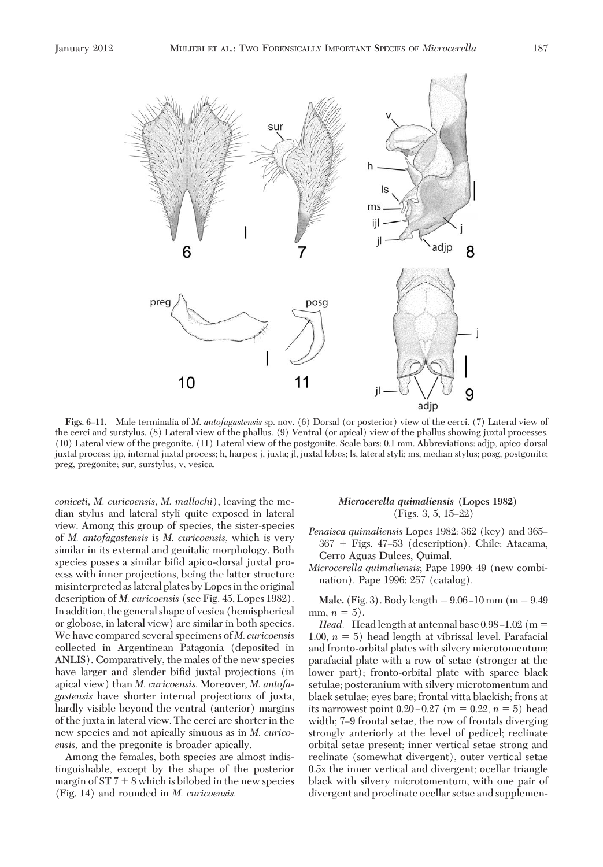$\sin$ 



ïï adjp 8 preg posg 11 10 il 9 adjp

**Figs. 6–11.** Male terminalia of *M*. *antofagastensis* sp. nov. (6) Dorsal (or posterior) view of the cerci. (7) Lateral view of the cerci and surstylus. (8) Lateral view of the phallus. (9) Ventral (or apical) view of the phallus showing juxtal processes. (10) Lateral view of the pregonite. (11) Lateral view of the postgonite. Scale bars: 0.1 mm. Abbreviations: adjp, apico-dorsal juxtal process; ijp, internal juxtal process; h, harpes; j, juxta; jl, juxtal lobes; ls, lateral styli; ms, median stylus; posg, postgonite; preg, pregonite; sur, surstylus; v, vesica.

*coniceti, M. curicoensis, M. mallochi*), leaving the median stylus and lateral styli quite exposed in lateral view. Among this group of species, the sister-species of *M. antofagastensis* is *M. curicoensis,* which is very similar in its external and genitalic morphology. Both species posses a similar bifid apico-dorsal juxtal process with inner projections, being the latter structure misinterpreted aslateral plates by Lopesin the original description of *M. curicoensis* (see Fig. 45, Lopes 1982). In addition, the general shape of vesica (hemispherical or globose, in lateral view) are similar in both species. We have compared several specimens of *M. curicoensis* collected in Argentinean Patagonia (deposited in ANLIS). Comparatively, the males of the new species have larger and slender bifid juxtal projections (in apical view) than *M. curicoensis.* Moreover, *M. antofagastensis* have shorter internal projections of juxta, hardly visible beyond the ventral (anterior) margins of the juxta in lateral view. The cerci are shorter in the new species and not apically sinuous as in *M. curicoensis,* and the pregonite is broader apically.

Among the females, both species are almost indistinguishable, except by the shape of the posterior margin of  $ST 7 + 8$  which is bilobed in the new species (Fig. 14) and rounded in *M. curicoensis.*

# *Microcerella quimaliensis* **(Lopes 1982)** (Figs. 3, 5, 15-22)

*Penaisca quimaliensis* Lopes 1982: 362 (key) and 365– 367 Figs. 47Ð53 (description). Chile: Atacama, Cerro Aguas Dulces, Quimal.

*Microcerella quimaliensis*; Pape 1990: 49 (new combination). Pape 1996: 257 (catalog).

**Male.** (Fig. 3). Body length  $= 9.06 - 10$  mm (m  $= 9.49$ ) mm,  $n = 5$ ).

*Head.* Head length at antennal base  $0.98 - 1.02$  (m = 1.00,  $n = 5$ ) head length at vibrissal level. Parafacial and fronto-orbital plates with silvery microtomentum; parafacial plate with a row of setae (stronger at the lower part); fronto-orbital plate with sparce black setulae; postcranium with silvery microtomentum and black setulae; eyes bare; frontal vitta blackish; frons at its narrowest point  $0.20 - 0.27$  (m = 0.22, n = 5) head width; 7-9 frontal setae, the row of frontals diverging strongly anteriorly at the level of pedicel; reclinate orbital setae present; inner vertical setae strong and reclinate (somewhat divergent), outer vertical setae 0.5x the inner vertical and divergent; ocellar triangle black with silvery microtomentum, with one pair of divergent and proclinate ocellar setae and supplemen-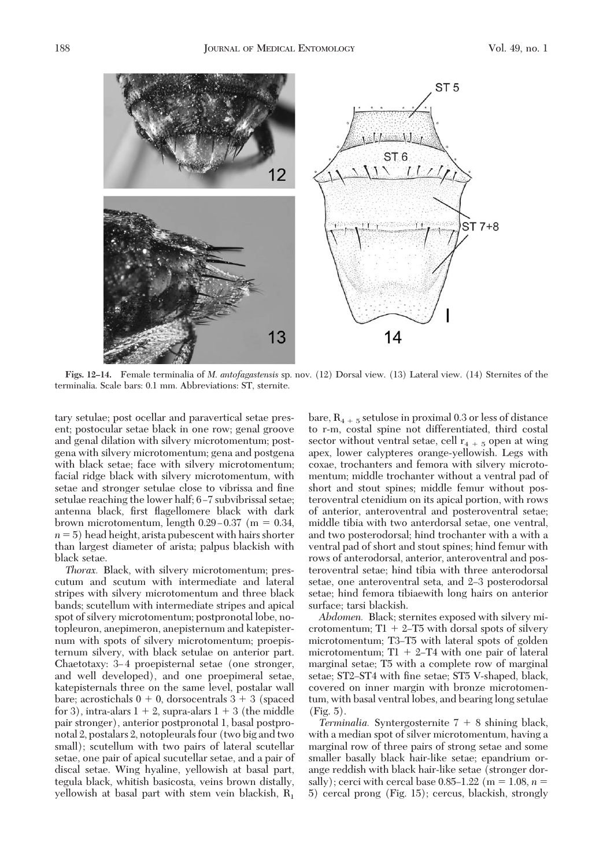

**Figs. 12–14.** Female terminalia of *M*. *antofagastensis* sp. nov. (12) Dorsal view. (13) Lateral view. (14) Sternites of the terminalia. Scale bars: 0.1 mm. Abbreviations: ST, sternite.

tary setulae; post ocellar and paravertical setae present; postocular setae black in one row; genal groove and genal dilation with silvery microtomentum; postgena with silvery microtomentum; gena and postgena with black setae; face with silvery microtomentum; facial ridge black with silvery microtomentum, with setae and stronger setulae close to vibrissa and fine setulae reaching the lower half; 6-7 subvibrissal setae; antenna black, first flagellomere black with dark brown microtomentum, length  $0.29 - 0.37$  (m = 0.34,  $n = 5$ ) head height, arista pubescent with hairs shorter than largest diameter of arista; palpus blackish with black setae.

*Thorax.* Black, with silvery microtomentum; prescutum and scutum with intermediate and lateral stripes with silvery microtomentum and three black bands; scutellum with intermediate stripes and apical spot of silvery microtomentum; postpronotal lobe, notopleuron, anepimeron, anepisternum and katepisternum with spots of silvery microtomentum; proepisternum silvery, with black setulae on anterior part. Chaetotaxy: 3-4 proepisternal setae (one stronger, and well developed), and one proepimeral setae, katepisternals three on the same level, postalar wall bare; acrostichals  $0 + 0$ , dorsocentrals  $3 + 3$  (spaced for 3), intra-alars  $1 + 2$ , supra-alars  $1 + 3$  (the middle pair stronger), anterior postpronotal 1, basal postpronotal 2, postalars 2, notopleurals four (two big and two small); scutellum with two pairs of lateral scutellar setae, one pair of apical sucutellar setae, and a pair of discal setae. Wing hyaline, yellowish at basal part, tegula black, whitish basicosta, veins brown distally, yellowish at basal part with stem vein blackish,  $R_1$ 

bare,  $R_{4+5}$  setulose in proximal 0.3 or less of distance to r-m, costal spine not differentiated, third costal sector without ventral setae, cell  $r_{4+5}$  open at wing apex, lower calypteres orange-yellowish. Legs with coxae, trochanters and femora with silvery microtomentum; middle trochanter without a ventral pad of short and stout spines; middle femur without posteroventral ctenidium on its apical portion, with rows of anterior, anteroventral and posteroventral setae; middle tibia with two anterdorsal setae, one ventral, and two posterodorsal; hind trochanter with a with a ventral pad of short and stout spines; hind femur with rows of anterodorsal, anterior, anteroventral and posteroventral setae; hind tibia with three anterodorsal setae, one anteroventral seta, and 2–3 posterodorsal setae; hind femora tibiaewith long hairs on anterior surface; tarsi blackish.

*Abdomen.* Black; sternites exposed with silvery microtomentum;  $T1 + 2-T5$  with dorsal spots of silvery microtomentum; T3-T5 with lateral spots of golden microtomentum;  $T1 + 2-T4$  with one pair of lateral marginal setae; T5 with a complete row of marginal setae; ST2–ST4 with fine setae; ST5 V-shaped, black, covered on inner margin with bronze microtomentum, with basal ventral lobes, and bearing long setulae (Fig. 5).

*Terminalia.* Syntergosternite  $7 + 8$  shining black, with a median spot of silver microtomentum, having a marginal row of three pairs of strong setae and some smaller basally black hair-like setae; epandrium orange reddish with black hair-like setae (stronger dorsally); cerci with cercal base  $0.85-1.22$  (m = 1.08, n = 5) cercal prong (Fig. 15); cercus, blackish, strongly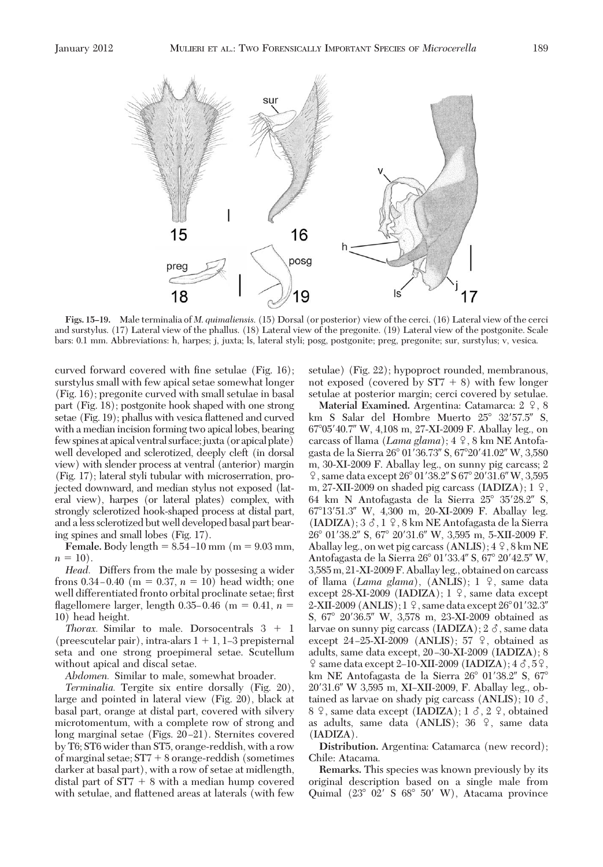

**Figs. 15–19.** Male terminalia of *M*. *quimaliensis*. (15) Dorsal (or posterior) view of the cerci. (16) Lateral view of the cerci and surstylus. (17) Lateral view of the phallus. (18) Lateral view of the pregonite. (19) Lateral view of the postgonite. Scale bars: 0.1 mm. Abbreviations: h, harpes; j, juxta; ls, lateral styli; posg, postgonite; preg, pregonite; sur, surstylus; v, vesica.

curved forward covered with fine setulae  $(Fig. 16)$ ; surstylus small with few apical setae somewhat longer (Fig. 16); pregonite curved with small setulae in basal part (Fig. 18); postgonite hook shaped with one strong setae (Fig. 19); phallus with vesica ßattened and curved with a median incision forming two apical lobes, bearing few spinesatapical ventral surface; juxta (orapicalplate) well developed and sclerotized, deeply cleft (in dorsal view) with slender process at ventral (anterior) margin (Fig. 17); lateral styli tubular with microserration, projected downward, and median stylus not exposed (lateral view), harpes (or lateral plates) complex, with strongly sclerotized hook-shaped process at distal part, and a less sclerotized but well developed basal part bearing spines and small lobes (Fig. 17).

**Female.** Body length  $= 8.54 - 10$  mm (m  $= 9.03$  mm,  $n = 10$ ).

*Head.* Differs from the male by possesing a wider frons  $0.34 - 0.40$  (m = 0.37, n = 10) head width; one well differentiated fronto orbital proclinate setae; first flagellomere larger, length 0.35–0.46 (m = 0.41,  $n =$ 10) head height.

*Thorax.* Similar to male. Dorsocentrals  $3 + 1$ (preescutelar pair), intra-alars  $1 + 1$ , 1–3 prepisternal seta and one strong proepimeral setae. Scutellum without apical and discal setae.

*Abdomen.* Similar to male, somewhat broader.

*Terminalia.* Tergite six entire dorsally (Fig. 20), large and pointed in lateral view (Fig. 20), black at basal part, orange at distal part, covered with silvery microtomentum, with a complete row of strong and long marginal setae (Figs. 20–21). Sternites covered by T6; ST6 wider than ST5, orange-reddish, with a row of marginal setae;  $ST7 + 8$  orange-reddish (sometimes darker at basal part), with a row of setae at midlength, distal part of  $ST7 + 8$  with a median hump covered with setulae, and flattened areas at laterals (with few

setulae) (Fig. 22); hypoproct rounded, membranous, not exposed (covered by  $ST7 + 8$ ) with few longer setulae at posterior margin; cerci covered by setulae.

**Material Examined.** Argentina: Catamarca:  $2 \div 8$ km S Salar del Hombre Muerto  $25^{\circ}$  32'57.5" S, 670540.7 W, 4,108 m, 27-XI-2009 F. Aballay leg., on carcass of llama (*Lama glama*); 4  $\frac{1}{7}$ , 8 km NE Antofagasta de la Sierra 26° 01'36.73" S, 67° 20' 41.02" W, 3,580 m, 30-XI-2009 F. Aballay leg., on sunny pig carcass; 2  $\sqrt{9}$ , same data except  $26^{\circ}$  01'38.2" S 67° 20'31.6" W, 3,595 m, 27-XII-2009 on shaded pig carcass (IADIZA);  $1 \,$   $\circ$ , 64 km N Antofagasta de la Sierra  $25^{\circ}$  35'28.2" S, 67°13'51.3" W, 4,300 m, 20-XI-2009 F. Aballay leg.  $(IADIZA); 3 \delta, 1 \delta, 8 \text{ km NE Antofagasta de la Sierra}$ 26° 01'38.2" S, 67° 20'31.6" W, 3,595 m, 5-XII-2009 F. Aballay leg., on wet pig carcass (ANLIS);  $4\frac{9}{5}$ , 8 km NE Antofagasta de la Sierra 26° 01'33.4" S, 67° 20'42.5" W, 3,585m, 21-XI-2009 F. Aballayleg., obtained on carcass of llama (*Lama glama*), (ANLIS); 1 <sup>2</sup>, same data except 28-XI-2009 (IADIZA);  $1 \nvert 2$ , same data except 2-XII-2009 (ANLIS);  $1\frac{9}{7}$ , same data except 26° 01′32.3″ S, 67° 20'36.5" W, 3,578 m, 23-XI-2009 obtained as larvae on sunny pig carcass (IADIZA);  $2 \delta$ , same data except 24-25-XI-2009 (ANLIS); 57  $\Omega$ , obtained as adults, same data except,  $20-30-XI-2009$  (IADIZA); 8  $\frac{1}{2}$  same data except 2–10-XII-2009 (IADIZA); 4  $\delta$ , 5 $\frac{1}{2}$ , km NE Antofagasta de la Sierra  $26^{\circ}$  01'38.2" S,  $67^{\circ}$ 20'31.6" W 3.595 m, XI-XII-2009, F. Aballay leg., obtained as larvae on shady pig carcass (ANLIS); 10  $\delta$ , 8  $\degree$ , same data except (IADIZA); 1  $\degree$ , 2  $\degree$ , obtained as adults, same data (ANLIS); 36  $\degree$ , same data (IADIZA).

**Distribution.** Argentina: Catamarca (new record); Chile: Atacama.

**Remarks.** This species was known previously by its original description based on a single male from Quimal  $(23^{\circ}$  02' S  $68^{\circ}$  50' W), Atacama province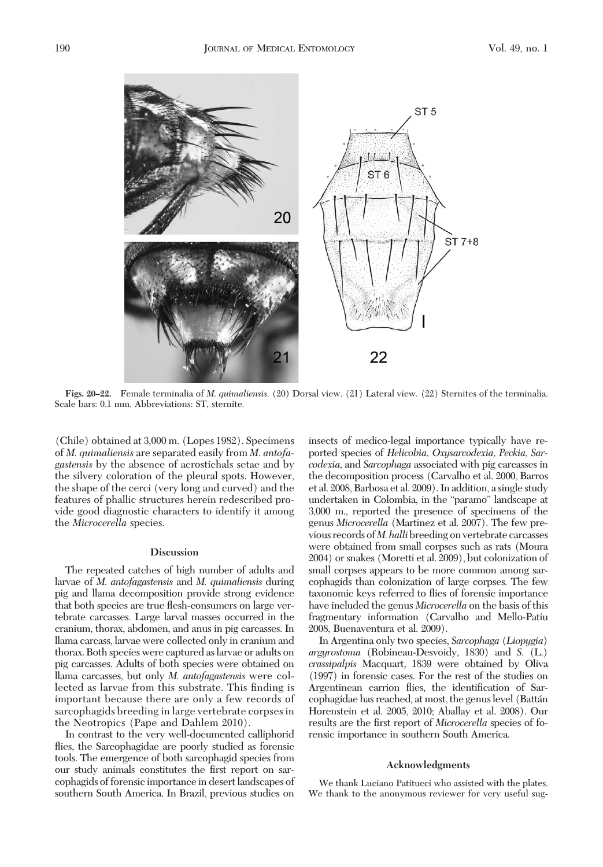

**Figs. 20–22.** Female terminalia of *M*. *quimaliensis*. (20) Dorsal view. (21) Lateral view. (22) Sternites of the terminalia. Scale bars: 0.1 mm. Abbreviations: ST, sternite.

(Chile) obtained at 3,000 m. (Lopes 1982). Specimens of *M. quimaliensis* are separated easily from *M. antofagastensis* by the absence of acrostichals setae and by the silvery coloration of the pleural spots. However, the shape of the cerci (very long and curved) and the features of phallic structures herein redescribed provide good diagnostic characters to identify it among the *Microcerella* species.

#### **Discussion**

The repeated catches of high number of adults and larvae of *M. antofagastensis* and *M. quimaliensis* during pig and llama decomposition provide strong evidence that both species are true ßesh-consumers on large vertebrate carcasses. Large larval masses occurred in the cranium, thorax, abdomen, and anus in pig carcasses. In llama carcass, larvae were collected only in cranium and thorax. Both species were captured as larvae or adults on pig carcasses. Adults of both species were obtained on llama carcasses, but only *M. antofagastensis* were collected as larvae from this substrate. This finding is important because there are only a few records of sarcophagids breeding in large vertebrate corpses in the Neotropics (Pape and Dahlem 2010).

In contrast to the very well-documented calliphorid flies, the Sarcophagidae are poorly studied as forensic tools. The emergence of both sarcophagid species from our study animals constitutes the first report on sarcophagids of forensic importance in desert landscapes of southern South America. In Brazil, previous studies on insects of medico-legal importance typically have reported species of *Helicobia, Oxysarcodexia, Peckia, Sarcodexia,* and *Sarcophaga* associated with pig carcasses in the decomposition process (Carvalho et al. 2000, Barros et al. 2008, Barbosa et al. 2009). In addition, a single study undertaken in Colombia, in the "paramo" landscape at 3,000 m., reported the presence of specimens of the genus *Microcerella* (Martinez et al. 2007). The few previous records of*M. halli*breeding on vertebrate carcasses were obtained from small corpses such as rats (Moura 2004) or snakes (Moretti et al. 2009), but colonization of small corpses appears to be more common among sarcophagids than colonization of large corpses. The few taxonomic keys referred to ßies of forensic importance have included the genus *Microcerella* on the basis of this fragmentary information (Carvalho and Mello-Patiu 2008, Buenaventura et al. 2009).

In Argentina only two species, *Sarcophaga* (*Liopygia*) *argyrostoma* (Robineau-Desvoidy, 1830) and *S.* (L.) *crassipalpis* Macquart, 1839 were obtained by Oliva (1997) in forensic cases. For the rest of the studies on Argentinean carrion flies, the identification of Sarcophagidae has reached, at most, the genus level (Batta´n Horenstein et al. 2005, 2010; Aballay et al. 2008). Our results are the first report of *Microcerella* species of forensic importance in southern South America.

### **Acknowledgments**

We thank Luciano Patitucci who assisted with the plates. We thank to the anonymous reviewer for very useful sug